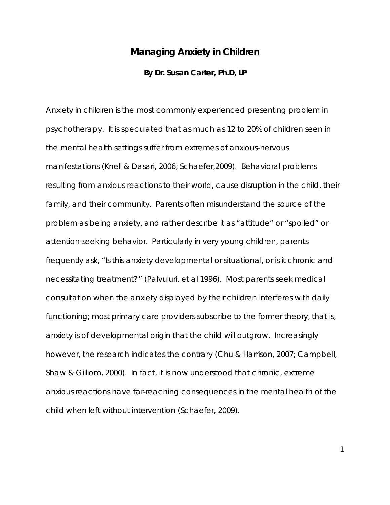## **Managing Anxiety in Children**

## **By Dr. Susan Carter, Ph.D, LP**

Anxiety in children is the most commonly experienced presenting problem in psychotherapy. It is speculated that as much as 12 to 20% of children seen in the mental health settings suffer from extremes of anxious-nervous manifestations (Knell & Dasari, 2006; Schaefer,2009). Behavioral problems resulting from anxious reactions to their world, cause disruption in the child, their family, and their community. Parents often misunderstand the source of the problem as being anxiety, and rather describe it as "attitude" or "spoiled" or attention-seeking behavior. Particularly in very young children, parents frequently ask, "Is this anxiety developmental or situational, or is it chronic and necessitating treatment?" (Palvuluri, et al 1996). Most parents seek medical consultation when the anxiety displayed by their children interferes with daily functioning; most primary care providers subscribe to the former theory, that is, anxiety is of developmental origin that the child will outgrow. Increasingly however, the research indicates the contrary (Chu & Harrison, 2007; Campbell, Shaw & Gilliom, 2000). In fact, it is now understood that chronic, extreme anxious reactions have far-reaching consequences in the mental health of the child when left without intervention (Schaefer, 2009).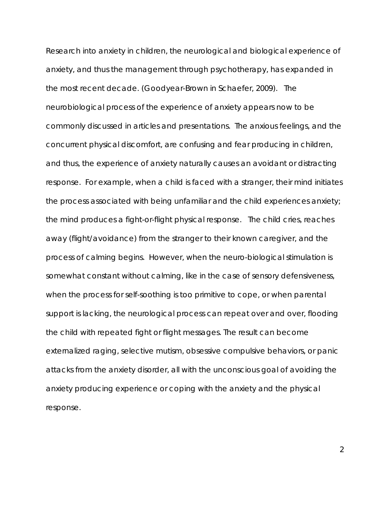Research into anxiety in children, the neurological and biological experience of anxiety, and thus the management through psychotherapy, has expanded in the most recent decade. (Goodyear-Brown in Schaefer, 2009). The neurobiological process of the experience of anxiety appears now to be commonly discussed in articles and presentations. The anxious feelings, and the concurrent physical discomfort, are confusing and fear producing in children, and thus, the experience of anxiety naturally causes an avoidant or distracting response. For example, when a child is faced with a stranger, their mind initiates the process associated with being unfamiliar and the child experiences anxiety; the mind produces a fight-or-flight physical response. The child cries, reaches away (flight/avoidance) from the stranger to their known caregiver, and the process of calming begins. However, when the neuro-biological stimulation is somewhat constant without calming, like in the case of sensory defensiveness, when the process for self-soothing is too primitive to cope, or when parental support is lacking, the neurological process can repeat over and over, flooding the child with repeated fight or flight messages. The result can become externalized raging, selective mutism, obsessive compulsive behaviors, or panic attacks from the anxiety disorder, all with the unconscious goal of avoiding the anxiety producing experience or coping with the anxiety and the physical response.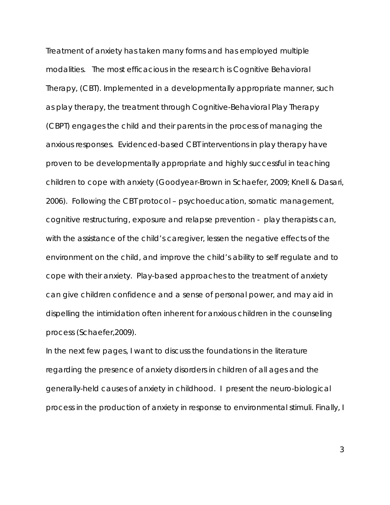Treatment of anxiety has taken many forms and has employed multiple modalities. The most efficacious in the research is Cognitive Behavioral Therapy, (CBT). Implemented in a developmentally appropriate manner, such as play therapy, the treatment through Cognitive-Behavioral Play Therapy (CBPT) engages the child and their parents in the process of managing the anxious responses. Evidenced-based CBT interventions in play therapy have proven to be developmentally appropriate and highly successful in teaching children to cope with anxiety (Goodyear-Brown in Schaefer, 2009; Knell & Dasari, 2006). Following the CBT protocol – psychoeducation, somatic management, cognitive restructuring, exposure and relapse prevention - play therapists can, with the assistance of the child's caregiver, lessen the negative effects of the environment on the child, and improve the child's ability to self regulate and to cope with their anxiety. Play-based approaches to the treatment of anxiety can give children confidence and a sense of personal power, and may aid in dispelling the intimidation often inherent for anxious children in the counseling process (Schaefer,2009).

In the next few pages, I want to discuss the foundations in the literature regarding the presence of anxiety disorders in children of all ages and the generally-held causes of anxiety in childhood. I present the neuro-biological process in the production of anxiety in response to environmental stimuli. Finally, I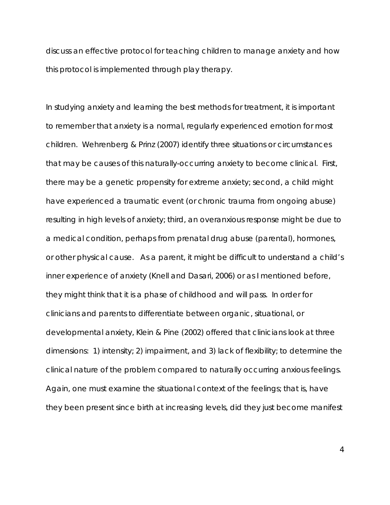discuss an effective protocol for teaching children to manage anxiety and how this protocol is implemented through play therapy.

In studying anxiety and learning the best methods for treatment, it is important to remember that anxiety is a normal, regularly experienced emotion for most children. Wehrenberg & Prinz (2007) identify three situations or circumstances that may be causes of this naturally-occurring anxiety to become clinical. First, there may be a genetic propensity for extreme anxiety; second, a child might have experienced a traumatic event (or chronic trauma from ongoing abuse) resulting in high levels of anxiety; third, an overanxious response might be due to a medical condition, perhaps from prenatal drug abuse (parental), hormones, or other physical cause. As a parent, it might be difficult to understand a child's inner experience of anxiety (Knell and Dasari, 2006) or as I mentioned before, they might think that it is a phase of childhood and will pass. In order for clinicians and parents to differentiate between organic, situational, or developmental anxiety, Klein & Pine (2002) offered that clinicians look at three dimensions: 1) intensity; 2) impairment, and 3) lack of flexibility; to determine the clinical nature of the problem compared to naturally occurring anxious feelings. Again, one must examine the situational context of the feelings; that is, have they been present since birth at increasing levels, did they just become manifest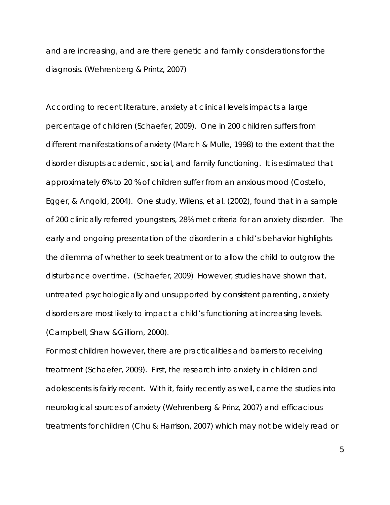and are increasing, and are there genetic and family considerations for the diagnosis. (Wehrenberg & Printz, 2007)

According to recent literature, anxiety at clinical levels impacts a large percentage of children (Schaefer, 2009). One in 200 children suffers from different manifestations of anxiety (March & Mulle, 1998) to the extent that the disorder disrupts academic, social, and family functioning. It is estimated that approximately 6% to 20 % of children suffer from an anxious mood (Costello, Egger, & Angold, 2004). One study, Wilens, et al. (2002), found that in a sample of 200 clinically referred youngsters, 28% met criteria for an anxiety disorder. The early and ongoing presentation of the disorder in a child's behavior highlights the dilemma of whether to seek treatment or to allow the child to outgrow the disturbance over time. (Schaefer, 2009) However, studies have shown that, untreated psychologically and unsupported by consistent parenting, anxiety disorders are most likely to impact a child's functioning at increasing levels. (Campbell, Shaw &Gilliom, 2000).

For most children however, there are practicalities and barriers to receiving treatment (Schaefer, 2009). First, the research into anxiety in children and adolescents is fairly recent. With it, fairly recently as well, came the studies into neurological sources of anxiety (Wehrenberg & Prinz, 2007) and efficacious treatments for children (Chu & Harrison, 2007) which may not be widely read or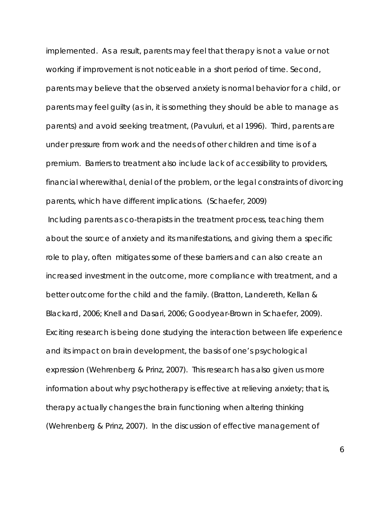implemented. As a result, parents may feel that therapy is not a value or not working if improvement is not noticeable in a short period of time. Second, parents may believe that the observed anxiety is normal behavior for a child, or parents may feel guilty (as in, it is something they should be able to manage as parents) and avoid seeking treatment, (Pavuluri, et al 1996). Third, parents are under pressure from work and the needs of other children and time is of a premium. Barriers to treatment also include lack of accessibility to providers, financial wherewithal, denial of the problem, or the legal constraints of divorcing parents, which have different implications. (Schaefer, 2009) Including parents as co-therapists in the treatment process, teaching them about the source of anxiety and its manifestations, and giving them a specific role to play, often mitigates some of these barriers and can also create an increased investment in the outcome, more compliance with treatment, and a better outcome for the child and the family. (Bratton, Landereth, Kellan & Blackard, 2006; Knell and Dasari, 2006; Goodyear-Brown in Schaefer, 2009). Exciting research is being done studying the interaction between life experience and its impact on brain development, the basis of one's psychological expression (Wehrenberg & Prinz, 2007). This research has also given us more information about why psychotherapy is effective at relieving anxiety; that is, therapy actually changes the brain functioning when altering thinking (Wehrenberg & Prinz, 2007). In the discussion of effective management of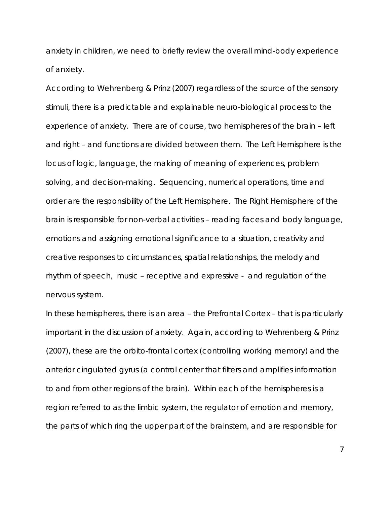anxiety in children, we need to briefly review the overall mind-body experience of anxiety.

According to Wehrenberg & Prinz (2007) regardless of the source of the sensory stimuli, there is a predictable and explainable neuro-biological process to the experience of anxiety. There are of course, two hemispheres of the brain – left and right – and functions are divided between them. The Left Hemisphere is the locus of logic, language, the making of meaning of experiences, problem solving, and decision-making. Sequencing, numerical operations, time and order are the responsibility of the Left Hemisphere. The Right Hemisphere of the brain is responsible for non-verbal activities – reading faces and body language, emotions and assigning emotional significance to a situation, creativity and creative responses to circumstances, spatial relationships, the melody and rhythm of speech, music – receptive and expressive - and regulation of the nervous system.

In these hemispheres, there is an area – the Prefrontal Cortex – that is particularly important in the discussion of anxiety. Again, according to Wehrenberg & Prinz (2007), these are the orbito-frontal cortex (controlling working memory) and the anterior cingulated gyrus (a control center that filters and amplifies information to and from other regions of the brain). Within each of the hemispheres is a region referred to as the limbic system, the regulator of emotion and memory, the parts of which ring the upper part of the brainstem, and are responsible for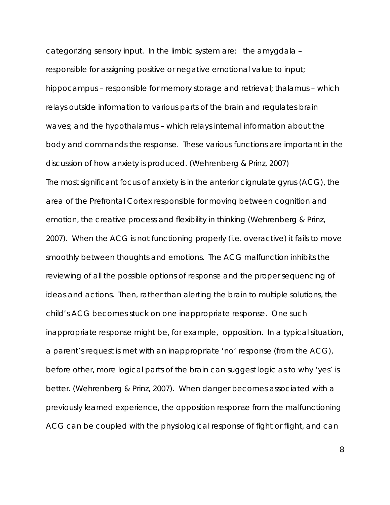categorizing sensory input. In the limbic system are: the amygdala – responsible for assigning positive or negative emotional value to input; hippocampus – responsible for memory storage and retrieval; thalamus – which relays outside information to various parts of the brain and regulates brain waves; and the hypothalamus – which relays internal information about the body and commands the response. These various functions are important in the discussion of how anxiety is produced. (Wehrenberg & Prinz, 2007) The most significant focus of anxiety is in the anterior cignulate gyrus (ACG), the area of the Prefrontal Cortex responsible for moving between cognition and emotion, the creative process and flexibility in thinking (Wehrenberg & Prinz, 2007). When the ACG is not functioning properly (i.e. overactive) it fails to move smoothly between thoughts and emotions. The ACG malfunction inhibits the reviewing of all the possible options of response and the proper sequencing of ideas and actions. Then, rather than alerting the brain to multiple solutions, the child's ACG becomes stuck on one inappropriate response. One such inappropriate response might be, for example, opposition. In a typical situation, a parent's request is met with an inappropriate 'no' response (from the ACG), before other, more logical parts of the brain can suggest logic as to why 'yes' is better. (Wehrenberg & Prinz, 2007). When danger becomes associated with a previously learned experience, the opposition response from the malfunctioning ACG can be coupled with the physiological response of fight or flight, and can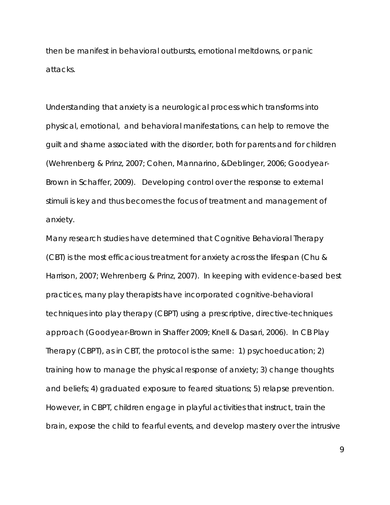then be manifest in behavioral outbursts, emotional meltdowns, or panic attacks.

Understanding that anxiety is a neurological process which transforms into physical, emotional, and behavioral manifestations, can help to remove the guilt and shame associated with the disorder, both for parents and for children (Wehrenberg & Prinz, 2007; Cohen, Mannarino, &Deblinger, 2006; Goodyear-Brown in Schaffer, 2009). Developing control over the response to external stimuli is key and thus becomes the focus of treatment and management of anxiety.

Many research studies have determined that Cognitive Behavioral Therapy (CBT) is the most efficacious treatment for anxiety across the lifespan (Chu & Harrison, 2007; Wehrenberg & Prinz, 2007). In keeping with evidence-based best practices, many play therapists have incorporated cognitive-behavioral techniques into play therapy (CBPT) using a prescriptive, directive-techniques approach (Goodyear-Brown in Shaffer 2009; Knell & Dasari, 2006). In CB Play Therapy (CBPT), as in CBT, the protocol is the same: 1) psychoeducation; 2) training how to manage the physical response of anxiety; 3) change thoughts and beliefs; 4) graduated exposure to feared situations; 5) relapse prevention. However, in CBPT, children engage in playful activities that instruct, train the brain, expose the child to fearful events, and develop mastery over the intrusive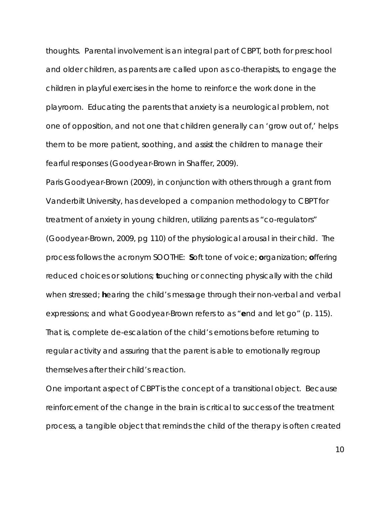thoughts. Parental involvement is an integral part of CBPT, both for preschool and older children, as parents are called upon as co-therapists, to engage the children in playful exercises in the home to reinforce the work done in the playroom. Educating the parents that anxiety is a neurological problem, not one of opposition, and not one that children generally can 'grow out of,' helps them to be more patient, soothing, and assist the children to manage their fearful responses (Goodyear-Brown in Shaffer, 2009).

Paris Goodyear-Brown (2009), in conjunction with others through a grant from Vanderbilt University, has developed a companion methodology to CBPT for treatment of anxiety in young children, utilizing parents as "co-regulators" (Goodyear-Brown, 2009, pg 110) of the physiological arousal in their child. The process follows the acronym SOOTHE: **S**oft tone of voice; **o**rganization; **o**ffering reduced choices or solutions; **t**ouching or connecting physically with the child when stressed; **h**earing the child's message through their non-verbal and verbal expressions; and what Goodyear-Brown refers to as "**e**nd and let go" (p. 115). That is, complete de-escalation of the child's emotions before returning to regular activity and assuring that the parent is able to emotionally regroup themselves after their child's reaction.

One important aspect of CBPT is the concept of a transitional object. Because reinforcement of the change in the brain is critical to success of the treatment process, a tangible object that reminds the child of the therapy is often created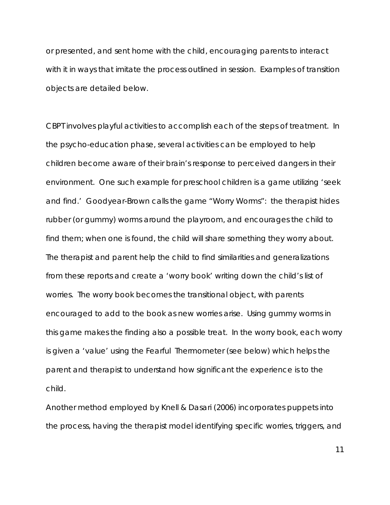or presented, and sent home with the child, encouraging parents to interact with it in ways that imitate the process outlined in session. Examples of transition objects are detailed below.

CBPT involves playful activities to accomplish each of the steps of treatment. In the psycho-education phase, several activities can be employed to help children become aware of their brain's response to perceived dangers in their environment. One such example for preschool children is a game utilizing 'seek and find.' Goodyear-Brown calls the game "Worry Worms": the therapist hides rubber (or gummy) worms around the playroom, and encourages the child to find them; when one is found, the child will share something they worry about. The therapist and parent help the child to find similarities and generalizations from these reports and create a 'worry book' writing down the child's list of worries. The worry book becomes the transitional object, with parents encouraged to add to the book as new worries arise. Using gummy worms in this game makes the finding also a possible treat. In the worry book, each worry is given a 'value' using the Fearful Thermometer (see below) which helps the parent and therapist to understand how significant the experience is to the child.

Another method employed by Knell & Dasari (2006) incorporates puppets into the process, having the therapist model identifying specific worries, triggers, and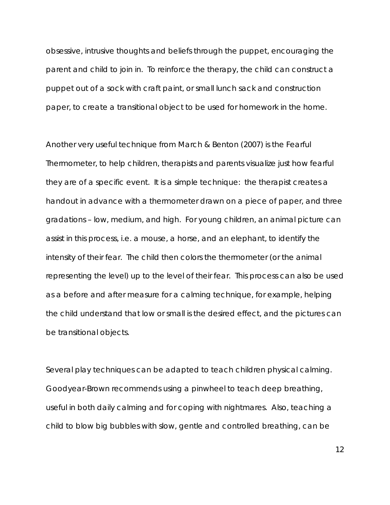obsessive, intrusive thoughts and beliefs through the puppet, encouraging the parent and child to join in. To reinforce the therapy, the child can construct a puppet out of a sock with craft paint, or small lunch sack and construction paper, to create a transitional object to be used for homework in the home.

Another very useful technique from March & Benton (2007) is the Fearful Thermometer, to help children, therapists and parents visualize just how fearful they are of a specific event. It is a simple technique: the therapist creates a handout in advance with a thermometer drawn on a piece of paper, and three gradations – low, medium, and high. For young children, an animal picture can assist in this process, i.e. a mouse, a horse, and an elephant, to identify the intensity of their fear. The child then colors the thermometer (or the animal representing the level) up to the level of their fear. This process can also be used as a before and after measure for a calming technique, for example, helping the child understand that low or small is the desired effect, and the pictures can be transitional objects.

Several play techniques can be adapted to teach children physical calming. Goodyear-Brown recommends using a pinwheel to teach deep breathing, useful in both daily calming and for coping with nightmares. Also, teaching a child to blow big bubbles with slow, gentle and controlled breathing, can be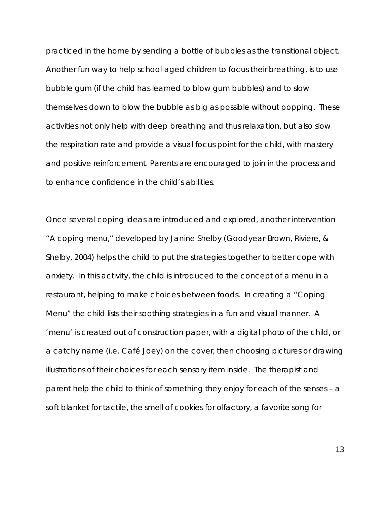practiced in the home by sending a bottle of bubbles as the transitional object. Another fun way to help school-aged children to focus their breathing, is to use bubble gum (if the child has learned to blow gum bubbles) and to slow themselves down to blow the bubble as big as possible without popping. These activities not only help with deep breathing and thus relaxation, but also slow the respiration rate and provide a visual focus point for the child, with mastery and positive reinforcement. Parents are encouraged to join in the process and to enhance confidence in the child's abilities.

Once several coping ideas are introduced and explored, another intervention "A coping menu," developed by Janine Shelby (Goodyear-Brown, Riviere, & Shelby, 2004) helps the child to put the strategies together to better cope with anxiety. In this activity, the child is introduced to the concept of a menu in a restaurant, helping to make choices between foods. In creating a "Coping Menu" the child lists their soothing strategies in a fun and visual manner. A 'menu' is created out of construction paper, with a digital photo of the child, or a catchy name (i.e. Café Joey) on the cover, then choosing pictures or drawing illustrations of their choices for each sensory item inside. The therapist and parent help the child to think of something they enjoy for each of the senses – a soft blanket for tactile, the smell of cookies for olfactory, a favorite song for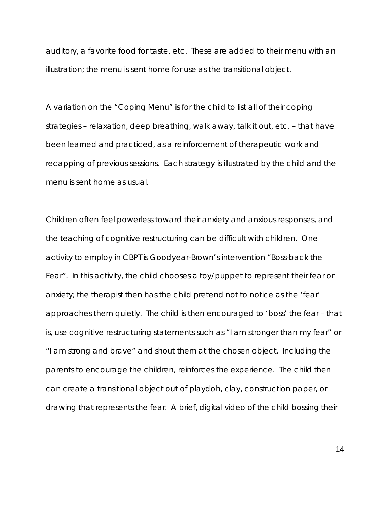auditory, a favorite food for taste, etc. These are added to their menu with an illustration; the menu is sent home for use as the transitional object.

A variation on the "Coping Menu" is for the child to list all of their coping strategies – relaxation, deep breathing, walk away, talk it out, etc. – that have been learned and practiced, as a reinforcement of therapeutic work and recapping of previous sessions. Each strategy is illustrated by the child and the menu is sent home as usual.

Children often feel powerless toward their anxiety and anxious responses, and the teaching of cognitive restructuring can be difficult with children. One activity to employ in CBPT is Goodyear-Brown's intervention "Boss-back the Fear". In this activity, the child chooses a toy/puppet to represent their fear or anxiety; the therapist then has the child pretend not to notice as the 'fear' approaches them quietly. The child is then encouraged to 'boss' the fear – that is, use cognitive restructuring statements such as "I am stronger than my fear" or "I am strong and brave" and shout them at the chosen object. Including the parents to encourage the children, reinforces the experience. The child then can create a transitional object out of playdoh, clay, construction paper, or drawing that represents the fear. A brief, digital video of the child bossing their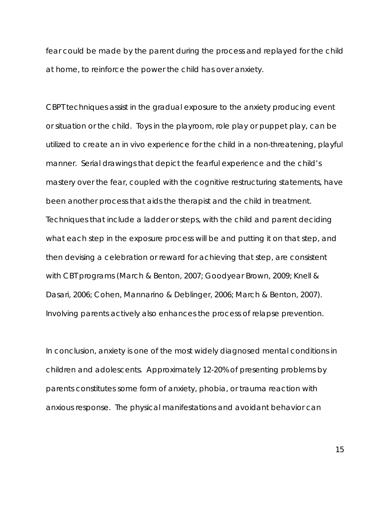fear could be made by the parent during the process and replayed for the child at home, to reinforce the power the child has over anxiety.

CBPT techniques assist in the gradual exposure to the anxiety producing event or situation or the child. Toys in the playroom, role play or puppet play, can be utilized to create an in vivo experience for the child in a non-threatening, playful manner. Serial drawings that depict the fearful experience and the child's mastery over the fear, coupled with the cognitive restructuring statements, have been another process that aids the therapist and the child in treatment. Techniques that include a ladder or steps, with the child and parent deciding what each step in the exposure process will be and putting it on that step, and then devising a celebration or reward for achieving that step, are consistent with CBT programs (March & Benton, 2007; Goodyear Brown, 2009; Knell & Dasari, 2006; Cohen, Mannarino & Deblinger, 2006; March & Benton, 2007). Involving parents actively also enhances the process of relapse prevention.

In conclusion, anxiety is one of the most widely diagnosed mental conditions in children and adolescents. Approximately 12-20% of presenting problems by parents constitutes some form of anxiety, phobia, or trauma reaction with anxious response. The physical manifestations and avoidant behavior can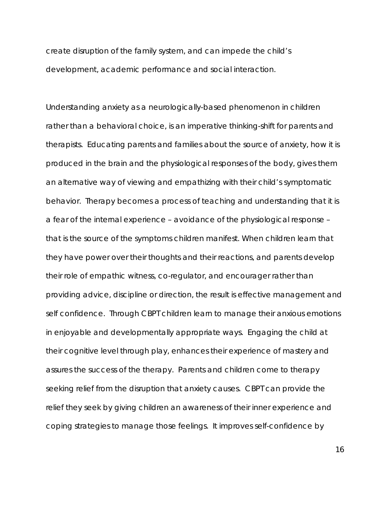create disruption of the family system, and can impede the child's development, academic performance and social interaction.

Understanding anxiety as a neurologically-based phenomenon in children rather than a behavioral choice, is an imperative thinking-shift for parents and therapists. Educating parents and families about the source of anxiety, how it is produced in the brain and the physiological responses of the body, gives them an alternative way of viewing and empathizing with their child's symptomatic behavior. Therapy becomes a process of teaching and understanding that it is a fear of the internal experience – avoidance of the physiological response – that is the source of the symptoms children manifest. When children learn that they have power over their thoughts and their reactions, and parents develop their role of empathic witness, co-regulator, and encourager rather than providing advice, discipline or direction, the result is effective management and self confidence. Through CBPT children learn to manage their anxious emotions in enjoyable and developmentally appropriate ways. Engaging the child at their cognitive level through play, enhances their experience of mastery and assures the success of the therapy. Parents and children come to therapy seeking relief from the disruption that anxiety causes. CBPT can provide the relief they seek by giving children an awareness of their inner experience and coping strategies to manage those feelings. It improves self-confidence by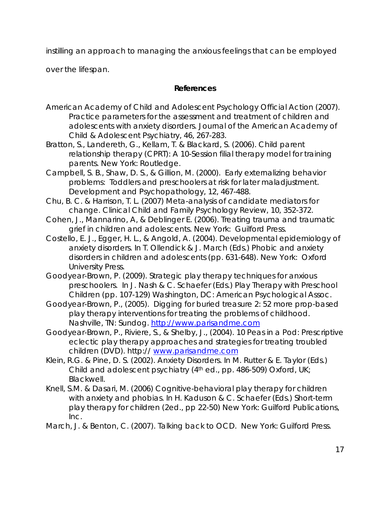instilling an approach to managing the anxious feelings that can be employed

over the lifespan.

## **References**

- American Academy of Child and Adolescent Psychology Official Action (2007). Practice parameters for the assessment and treatment of children and adolescents with anxiety disorders. *Journal of the American Academy of Child & Adolescent Psychiatry, 46, 267-283.*
- Bratton, S., Landereth, G., Kellam, T. & Blackard, S. (2006). *Child parent relationship therapy (CPRT): A 10-Session filial therapy model for training parents.* New York: Routledge.
- Campbell, S. B., Shaw, D. S., & Gillion, M. (2000). Early externalizing behavior problems: Toddlers and preschoolers at risk for later maladjustment. *Development and Psychopathology, 12, 467-488.*
- Chu, B. C. & Harrison, T. L. (2007) Meta-analysis of candidate mediators for change. *Clinical Child and Family Psychology Review, 10, 352-372.*
- Cohen, J., Mannarino, A, & Deblinger E. (2006). *Treating trauma and traumatic grief in children and adolescents.* New York: Guilford Press.
- Costello, E. J., Egger, H. L., & Angold, A. (2004). Developmental epidemiology of anxiety disorders. In T. Ollendick & J. March (Eds.) *Phobic and anxiety disorders in children and adolescents* (pp. 631-648). New York: Oxford University Press.
- Goodyear-Brown, P. (2009). Strategic play therapy techniques for anxious preschoolers. In J. Nash & C. Schaefer (Eds.) *Play Therapy with Preschool Children* (pp. 107-129) Washington, DC: American Psychological Assoc.
- Goodyear-Brown, P., (2005). *Digging for buried treasure 2: 52 more prop-based play therapy interventions for treating the problems of childhood.*  Nashville, TN: Sundog. http://www.parisandme.com
- Goodyear-Brown, P., Riviere, S., & Shelby, J., (2004). *10 Peas in a Pod: Prescriptive eclectic play therapy approaches and strategies for treating troubled children (DVD).* http:// www.parisandme.com
- Klein, R.G. & Pine, D. S. (2002). Anxiety Disorders. In M. Rutter & E. Taylor (Eds.) *Child and adolescent psychiatry* (4<sup>th</sup> ed., pp. 486-509) Oxford, UK; Blackwell.
- Knell, S.M. & Dasari, M. (2006) Cognitive-behavioral play therapy for children with anxiety and phobias. In H. Kaduson & C. Schaefer (Eds.) *Short-term play therapy for children (2ed., pp 22-50)* New York: Guilford Publications, Inc.
- March, J. & Benton, C. (2007). *Talking back to OCD.* New York: Guilford Press.